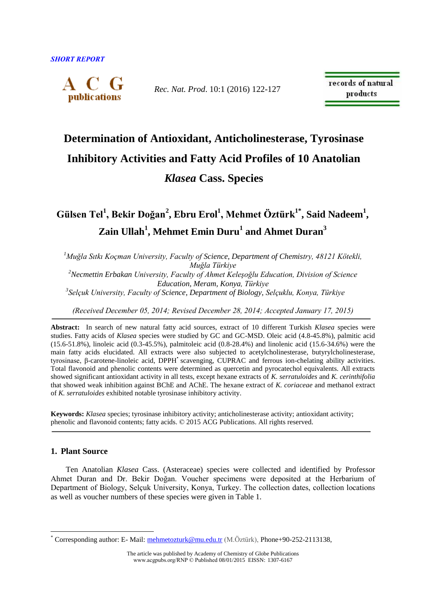

*Rec. Nat. Prod*. 10:1 (2016) 122-127

records of natural products

# **Determination of Antioxidant, Anticholinesterase, Tyrosinase Inhibitory Activities and Fatty Acid Profiles of 10 Anatolian**  *Klasea* **Cass. Species**

**Gülsen Tel<sup>1</sup> , Bekir Doğan<sup>2</sup> , Ebru Erol<sup>1</sup> , Mehmet Öztürk1\* , Said Nadeem<sup>1</sup> , Zain Ullah<sup>1</sup> , Mehmet Emin Duru<sup>1</sup> and Ahmet Duran<sup>3</sup>**

*<sup>1</sup>Muğla Sıtkı Koçman University, Faculty of Science, Department of Chemistry, 48121 Kötekli, Muğla Türkiye <sup>2</sup>Necmettin Erbakan University, Faculty of Ahmet Keleşoğlu Education, Division of Science Education, Meram, Konya, Türkiye 3 Selçuk University, Faculty of Science, Department of Biology, Selçuklu, Konya, Türkiye*

*(Received December 05, 2014; Revised December 28, 2014; Accepted January 17, 2015)*

**Abstract:** In search of new natural fatty acid sources, extract of 10 different Turkish *Klasea* species were studies. Fatty acids of *Klasea* species were studied by GC and GC-MSD. Oleic acid (4.8-45.8%), palmitic acid (15.6-51.8%), linoleic acid (0.3-45.5%), palmitoleic acid (0.8-28.4%) and linolenic acid (15.6-34.6%) were the main fatty acids elucidated. All extracts were also subjected to acetylcholinesterase, butyrylcholinesterase, tyrosinase, β-carotene-linoleic acid, DPPH• scavenging, CUPRAC and ferrous ion-chelating ability activities. Total flavonoid and phenolic contents were determined as quercetin and pyrocatechol equivalents. All extracts showed significant antioxidant activity in all tests, except hexane extracts of *K. serratuloides* and *K. cerinthifolia* that showed weak inhibition against BChE and AChE. The hexane extract of *K. coriaceae* and methanol extract of *K. serratuloides* exhibited notable tyrosinase inhibitory activity.

**Keywords:** *Klasea* species; tyrosinase inhibitory activity; anticholinesterase activity; antioxidant activity; phenolic and flavonoid contents; fatty acids. © 2015 ACG Publications. All rights reserved.

# **1. Plant Source**

 $\overline{a}$ 

Ten Anatolian *Klasea* Cass. (Asteraceae) species were collected and identified by Professor Ahmet Duran and Dr. Bekir Doğan. Voucher specimens were deposited at the Herbarium of Department of Biology, Selçuk University, Konya, Turkey. The collection dates, collection locations as well as voucher numbers of these species were given in Table 1.

<sup>\*</sup> Corresponding author: E- Mail[: mehmetozturk@mu.edu.tr](mailto:mehmetozturk@mu.edu.tr) (M.Öztürk), Phone+90-252-2113138,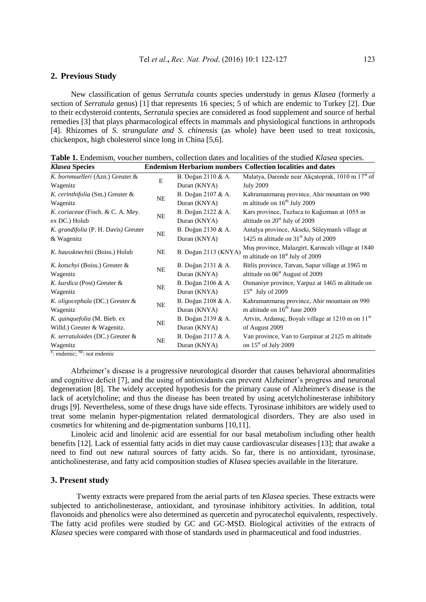## **2. Previous Study**

New classification of genus *Serratula* counts species understudy in genus *Klasea* (formerly a section of *Serratula* genus) [1] that represents 16 species; 5 of which are endemic to Turkey [2]. Due to their ecdysteroid contents, *Serratula* species are considered as food supplement and source of herbal remedies [3] that plays pharmacological effects in mammals and physiological functions in arthropods [4]. Rhizomes of *S. strangulate and S. chinensis* (as whole) have been used to treat toxicosis, chickenpox, high cholesterol since long in China [5,6].

| <b>Klasea Species</b>                | <b>Endemism Herbarium numbers Collection localities and dates</b> |                      |                                                                                                   |  |  |  |  |  |
|--------------------------------------|-------------------------------------------------------------------|----------------------|---------------------------------------------------------------------------------------------------|--|--|--|--|--|
| K. bornmuelleri (Azn.) Greuter &     | E                                                                 | B. Doğan 2110 & A.   | Malatya, Darende near Akçatoprak, 1010 m 17 <sup>st</sup> of                                      |  |  |  |  |  |
| Wagenitz                             |                                                                   | Duran (KNYA)         | <b>July 2009</b>                                                                                  |  |  |  |  |  |
| K. cerinthifolia (Sm.) Greuter &     | NE                                                                | B. Doğan 2107 & A.   | Kahramanmaraș province, Ahir mountain on 990                                                      |  |  |  |  |  |
| Wagenitz                             |                                                                   | Duran (KNYA)         | m altitude on $16^{th}$ July 2009                                                                 |  |  |  |  |  |
| K. coriaceae (Fisch. & C. A. Mey.    | NE                                                                | B. Doğan 2122 & A.   | Kars province, Tuzluca to Kağızman at 1055 m                                                      |  |  |  |  |  |
| ex DC.) Holub                        |                                                                   | Duran (KNYA)         | altitude on $20st$ July of 2009                                                                   |  |  |  |  |  |
| K. grandifolia (P. H. Davis) Greuter |                                                                   | B. Doğan 2130 & A.   | Antalya province, Akseki, Süleymanlı village at                                                   |  |  |  |  |  |
| & Wagenitz                           | NE                                                                | Duran (KNYA)         | 1425 m altitude on $31st$ July of 2009                                                            |  |  |  |  |  |
| K. haussknechtii (Boiss.) Holub      | <b>NE</b>                                                         | B. Doğan 2113 (KNYA) | Muş province, Malazgirt, Karıncalı village at 1840<br>m altitude on 18 <sup>st</sup> July of 2009 |  |  |  |  |  |
| K. kotschyi (Boiss.) Greuter &       |                                                                   | B. Doğan 2131 & A.   | Bitlis province, Tatvan, Sapur village at 1965 m                                                  |  |  |  |  |  |
| Wagenitz                             | NE                                                                | Duran (KNYA)         | altitude on $06st$ August of 2009                                                                 |  |  |  |  |  |
| K. kurdica (Post) Greuter &          |                                                                   | B. Doğan 2106 & A.   | Osmaniye province, Yarpuz at 1465 m altitude on                                                   |  |  |  |  |  |
| Wagenitz                             | NE                                                                | Duran (KNYA)         | $15^{\text{st}}$ July of 2009                                                                     |  |  |  |  |  |
| K. oligocephala (DC.) Greuter &      |                                                                   | B. Doğan 2108 & A.   | Kahramanmaras province, Ahir mountain on 990                                                      |  |  |  |  |  |
| Wagenitz                             | NE                                                                | Duran (KNYA)         | m altitude on 16 <sup>th</sup> June 2009                                                          |  |  |  |  |  |
| K. quinquefolia (M. Bieb. ex         | NE                                                                | B. Doğan 2139 & A.   | Artvin, Ardanuç, Boyalı village at 1210 m on 11 <sup>st</sup>                                     |  |  |  |  |  |
| Willd.) Greuter & Wagenitz.          |                                                                   | Duran (KNYA)         | of August 2009                                                                                    |  |  |  |  |  |
| K. serratuloides (DC.) Greuter &     | NE                                                                | B. Doğan 2117 & A.   | Van province, Van to Gurpinar at 2125 m altitude                                                  |  |  |  |  |  |
| Wagenitz                             |                                                                   | Duran (KNYA)         | on $15^{\text{st}}$ of July 2009                                                                  |  |  |  |  |  |

**Table 1.** Endemism, voucher numbers, collection dates and localities of the studied *Klasea* species.

E: endemic; NE: not endemic

Alzheimer's disease is a progressive neurological disorder that causes behavioral abnormalities and cognitive deficit [7], and the using of antioxidants can prevent Alzheimer's progress and neuronal degeneration [8]. The widely accepted hypothesis for the primary cause of Alzheimer's disease is the lack of acetylcholine; and thus the disease has been treated by using acetylcholinesterase inhibitory drugs [9]. Nevertheless, some of these drugs have side effects. Tyrosinase inhibitors are widely used to treat some melanin hyper-pigmentation related dermatological disorders. They are also used in cosmetics for whitening and de-pigmentation sunburns [10,11].

Linoleic acid and linolenic acid are essential for our basal metabolism including other health benefits [12]. Lack of essential fatty acids in diet may cause cardiovascular diseases [13]; that awake a need to find out new natural sources of fatty acids. So far, there is no antioxidant, tyrosinase, anticholinesterase, and fatty acid composition studies of *Klasea* species available in the literature.

## **3. Present study**

Twenty extracts were prepared from the aerial parts of ten *Klasea* species. These extracts were subjected to anticholinesterase, antioxidant, and tyrosinase inhibitory activities. In addition, total flavonoids and phenolics were also determined as quercetin and pyrocatechol equivalents, respectively. The fatty acid profiles were studied by GC and GC-MSD. Biological activities of the extracts of *Klasea* species were compared with those of standards used in pharmaceutical and food industries.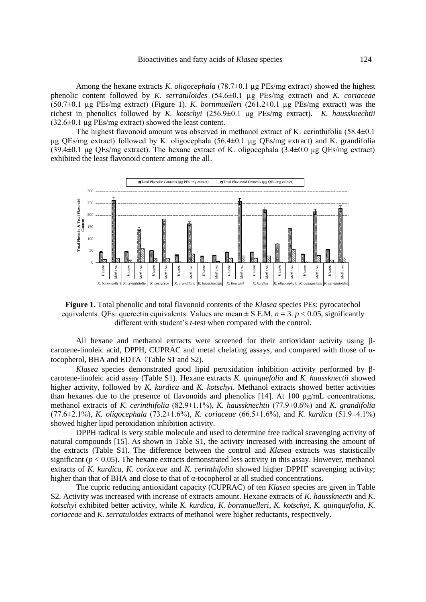Among the hexane extracts *K. oligocephala* (78.7±0.1 µg PEs/mg extract) showed the highest phenolic content followed by *K. serratuloides* (54.6±0.1 µg PEs/mg extract) and *K. coriaceae* (50.7±0.1 µg PEs/mg extract) (Figure 1). *K. bornmuelleri* (261.2±0.1 µg PEs/mg extract) was the richest in phenolics followed by *K. kotschyi* (256.9±0.1 µg PEs/mg extract). *K. haussknechtii*  $(32.6\pm0.1 \text{ kg} \text{PEs/mg} \text{ extract})$  showed the least content.

 The highest flavonoid amount was observed in methanol extract of K. cerinthifolia (58.4±0.1 μg QEs/mg extract) followed by K. oligocephala (56.4±0.1 μg QEs/mg extract) and K. grandifolia (39.4±0.1 μg QEs/mg extract). The hexane extract of K. oligocephala (3.4±0.0 μg QEs/mg extract) exhibited the least flavonoid content among the all.



**Figure 1.** Total phenolic and total flavonoid contents of the *Klasea* species PEs: pyrocatechol equivalents. QEs: quercetin equivalents. Values are mean  $\pm$  S.E.M,  $n = 3$ .  $p < 0.05$ , significantly different with student's *t*-test when compared with the control.

All hexane and methanol extracts were screened for their antioxidant activity using βcarotene-linoleic acid, DPPH, CUPRAC and metal chelating assays, and compared with those of αtocopherol, BHA and EDTA (Table S1 and S2).

*Klasea* species demonstrated good lipid peroxidation inhibition activity performed by βcarotene-linoleic acid assay (Table S1). Hexane extracts *K. quinquefolia* and *K. haussknectii* showed higher activity, followed by *K. kurdica* and *K. kotschyi*. Methanol extracts showed better activities than hexanes due to the presence of flavonoids and phenolics  $[14]$ . At 100  $\mu$ g/mL concentrations, methanol extracts of *K. cerinthifolia* (82.9±1.1%), *K. haussknechtii* (77.9±0.6%) and *K. grandifolia* (77.6±2.1%), *K. oligocephala* (73.2±1.6%), *K. coriaceae* (66.5±1.6%), and *K. kurdica* (51.9±4.1%) showed higher lipid peroxidation inhibition activity.

DPPH radical is very stable molecule and used to determine free radical scavenging activity of natural compounds [15]. As shown in Table S1, the activity increased with increasing the amount of the extracts (Table S1). The difference between the control and *Klasea* extracts was statistically significant ( $p < 0.05$ ). The hexane extracts demonstrated less activity in this assay. However, methanol extracts of *K. kurdica, K. coriaceae* and *K. cerinthifolia* showed higher DPPH<sup>•</sup> scavenging activity; higher than that of BHA and close to that of α-tocopherol at all studied concentrations.

The cupric reducing antioxidant capacity (CUPRAC) of ten *Klasea* species are given in Table S2. Activity was increased with increase of extracts amount. Hexane extracts of *K. haussknectii* and *K. kotschyi* exhibited better activity, while *K. kurdica*, *K. bornmuelleri*, *K. kotschyi*, *K. quinquefolia*, *K. coriaceae* and *K. serratuloides* extracts of methanol were higher reductants, respectively.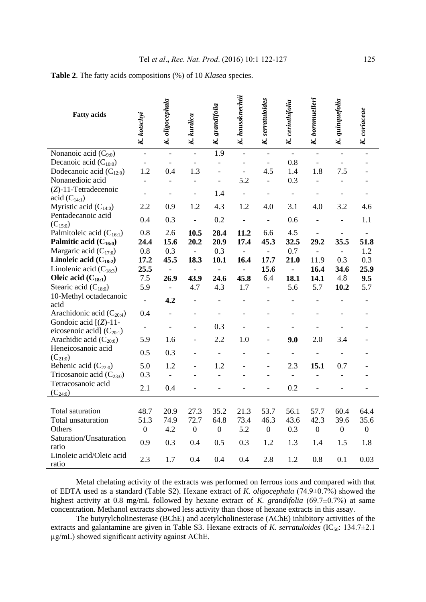| <b>Fatty acids</b>                                         | K. kotschyi              | oligocephala<br>K        | K. kurdica               | grandifolia<br>$\kappa$  | K. haussknechtii         | serratuloides<br>K.      | K. cerinthifolia | K. bornmuelleri     | quinquefolia<br>$\overline{\mathbf{K}}$ | K. coriaceae     |
|------------------------------------------------------------|--------------------------|--------------------------|--------------------------|--------------------------|--------------------------|--------------------------|------------------|---------------------|-----------------------------------------|------------------|
| Nonanoic acid $(C_{9:0})$                                  | $\frac{1}{2}$            | $\overline{a}$           | $\overline{a}$           | 1.9                      |                          |                          | $\overline{a}$   | $\overline{a}$      |                                         |                  |
| Decanoic acid $(C_{10:0})$                                 | $\overline{\phantom{a}}$ | $\overline{a}$           | $\overline{\phantom{0}}$ | $\overline{a}$           | $\overline{\phantom{0}}$ | $\overline{\phantom{a}}$ | 0.8              | $\bar{\phantom{a}}$ | $\overline{a}$                          |                  |
| Dodecanoic acid $(C_{12:0})$                               | 1.2                      | 0.4                      | 1.3                      | $\overline{a}$           | $\overline{\phantom{0}}$ | 4.5                      | 1.4              | 1.8                 | 7.5                                     |                  |
| Nonanedioic acid                                           |                          | $\overline{a}$           | $\overline{a}$           |                          | 5.2                      | $\overline{a}$           | 0.3              |                     |                                         |                  |
| (Z)-11-Tetradecenoic<br>acid $(C_{14:1})$                  |                          |                          |                          | 1.4                      |                          |                          |                  |                     |                                         |                  |
| Myristic acid $(C_{14:0})$                                 | 2.2                      | 0.9                      | 1.2                      | 4.3                      | 1.2                      | 4.0                      | 3.1              | 4.0                 | 3.2                                     | 4.6              |
| Pentadecanoic acid<br>$(C_{15:0})$                         | 0.4                      | 0.3                      | $\overline{a}$           | 0.2                      |                          |                          | 0.6              |                     |                                         | 1.1              |
| Palmitoleic acid (C <sub>16:1</sub> )                      | 0.8                      | 2.6                      | 10.5                     | 28.4                     | 11.2                     | 6.6                      | 4.5              |                     |                                         |                  |
| Palmitic acid (C <sub>16:0</sub> )                         | 24.4                     | 15.6                     | 20.2                     | 20.9                     | 17.4                     | 45.3                     | 32.5             | 29.2                | 35.5                                    | 51.8             |
| Margaric acid $(C_{17:0})$                                 | 0.8                      | 0.3                      | $\frac{1}{2}$            | 0.3                      |                          | $\blacksquare$           | 0.7              | $\overline{a}$      | $\overline{\phantom{0}}$                | 1.2              |
| Linoleic acid $(C_{18:2})$                                 | 17.2                     | 45.5                     | 18.3                     | 10.1                     | 16.4                     | 17.7                     | 21.0             | 11.9                | 0.3                                     | 0.3              |
| Linolenic acid $(C_{18:3})$                                | 25.5                     | $\overline{\phantom{a}}$ | $\overline{a}$           | $\overline{\phantom{a}}$ | $\blacksquare$           | 15.6                     | $\Box$           | 16.4                | 34.6                                    | 25.9             |
| Oleic acid $(C_{18:1})$                                    | 7.5                      | 26.9                     | 43.9                     | 24.6                     | 45.8                     | 6.4                      | 18.1             | 14.1                | 4.8                                     | 9.5              |
| Stearic acid $(C_{18:0})$                                  | 5.9                      | $\Box$                   | 4.7                      | 4.3                      | 1.7                      | $\blacksquare$           | 5.6              | 5.7                 | 10.2                                    | 5.7              |
| 10-Methyl octadecanoic<br>acid                             | $\overline{a}$           | 4.2                      |                          |                          |                          |                          |                  |                     |                                         |                  |
| Arachidonic acid $(C_{20:4})$                              | 0.4                      |                          |                          |                          |                          |                          |                  |                     |                                         |                  |
| Gondoic acid $[(Z)-11]$ -<br>eicosenoic acid] $(C_{20:1})$ | $\overline{\phantom{a}}$ |                          | $\overline{a}$           | 0.3                      |                          |                          |                  |                     |                                         |                  |
| Arachidic acid $(C_{20:0})$                                | 5.9                      | 1.6                      |                          | 2.2                      | 1.0                      |                          | 9.0              | 2.0                 | 3.4                                     |                  |
| Heneicosanoic acid<br>$(C_{21:0})$                         | 0.5                      | 0.3                      |                          |                          |                          |                          |                  |                     |                                         |                  |
| Behenic acid $(C_{22:0})$                                  | 5.0                      | 1.2                      |                          | 1.2                      |                          |                          | 2.3              | 15.1                | 0.7                                     |                  |
| Tricosanoic acid $(C_{23:0})$                              | 0.3                      |                          |                          |                          |                          |                          |                  |                     |                                         |                  |
| Tetracosanoic acid<br>$(C_{24:0})$                         | 2.1                      | 0.4                      |                          |                          |                          |                          | 0.2              |                     |                                         |                  |
|                                                            |                          |                          |                          |                          |                          |                          |                  |                     |                                         |                  |
| Total saturation                                           | 48.7                     | 20.9                     | 27.3                     | 35.2                     | 21.3                     | 53.7                     | 56.1             | 57.7                | 60.4                                    | 64.4             |
| Total unsaturation                                         | 51.3                     | 74.9                     | 72.7                     | 64.8                     | 73.4                     | 46.3                     | 43.6             | 42.3                | 39.6                                    | 35.6             |
| Others                                                     | $\boldsymbol{0}$         | 4.2                      | $\boldsymbol{0}$         | $\boldsymbol{0}$         | 5.2                      | $\boldsymbol{0}$         | 0.3              | $\boldsymbol{0}$    | $\boldsymbol{0}$                        | $\boldsymbol{0}$ |
| Saturation/Unsaturation<br>ratio                           | 0.9                      | 0.3                      | 0.4                      | 0.5                      | 0.3                      | 1.2                      | 1.3              | 1.4                 | 1.5                                     | 1.8              |
| Linoleic acid/Oleic acid<br>ratio                          | 2.3                      | 1.7                      | 0.4                      | 0.4                      | 0.4                      | 2.8                      | 1.2              | 0.8                 | 0.1                                     | 0.03             |

**Table 2**. The fatty acids compositions (%) of 10 *Klasea* species.

Metal chelating activity of the extracts was performed on ferrous ions and compared with that of EDTA used as a standard (Table S2). Hexane extract of *K. oligocephala* (74.9±0.7%) showed the highest activity at 0.8 mg/mL followed by hexane extract of *K. grandifolia* (69.7 $\pm$ 0.7%) at same concentration. Methanol extracts showed less activity than those of hexane extracts in this assay.

The butyrylcholinesterase (BChE) and acetylcholinesterase (AChE) inhibitory activities of the extracts and galantamine are given in Table S3. Hexane extracts of *K. serratuloides* (IC<sub>50</sub>: 134.7 $\pm$ 2.1 µg/mL) showed significant activity against AChE.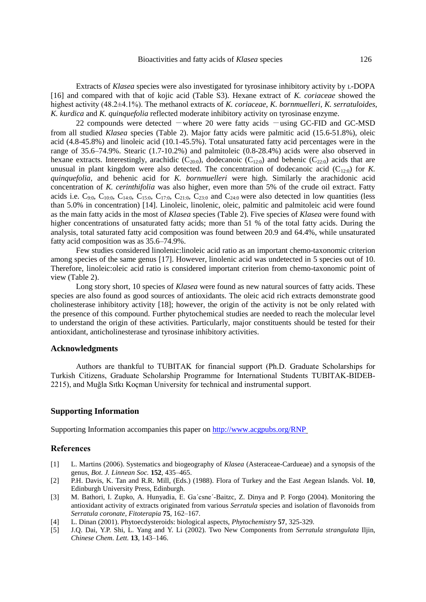Extracts of *Klasea* species were also investigated for tyrosinase inhibitory activity by L-DOPA [16] and compared with that of kojic acid (Table S3). Hexane extract of *K. coriaceae* showed the highest activity (48.2±4.1%). The methanol extracts of *K. coriaceae*, *K. bornmuelleri*, *K. serratuloides*, *K. kurdica* and *K. quinquefolia* reflected moderate inhibitory activity on tyrosinase enzyme.

22 compounds were detected  $-\text{where } 20$  were fatty acids  $-\text{using GC-FID}$  and GC-MSD from all studied *Klasea* species (Table 2). Major fatty acids were palmitic acid (15.6-51.8%), oleic acid (4.8-45.8%) and linoleic acid (10.1-45.5%). Total unsaturated fatty acid percentages were in the range of 35.6–74.9%. Stearic (1.7-10.2%) and palmitoleic (0.8-28.4%) acids were also observed in hexane extracts. Interestingly, arachidic ( $C_{20:0}$ ), dodecanoic ( $C_{12:0}$ ) and behenic ( $C_{22:0}$ ) acids that are unusual in plant kingdom were also detected. The concentration of dodecanoic acid  $(C_{12:0})$  for *K*. *quinquefolia*, and behenic acid for *K. bornmuelleri* were high. Similarly the arachidonic acid concentration of *K. cerinthifolia* was also higher, even more than 5% of the crude oil extract. Fatty acids i.e.  $C_{9:0}$ ,  $C_{10:0}$ ,  $C_{14:0}$ ,  $C_{15:0}$ ,  $C_{17:0}$ ,  $C_{21:0}$ ,  $C_{23:0}$  and  $C_{24:0}$  were also detected in low quantities (less than 5.0% in concentration) [14]. Linoleic, linolenic, oleic, palmitic and palmitoleic acid were found as the main fatty acids in the most of *Klasea* species (Table 2). Five species of *Klasea* were found with higher concentrations of unsaturated fatty acids; more than 51 % of the total fatty acids. During the analysis, total saturated fatty acid composition was found between 20.9 and 64.4%, while unsaturated fatty acid composition was as 35.6–74.9%.

Few studies considered linolenic:linoleic acid ratio as an important chemo-taxonomic criterion among species of the same genus [17]. However, linolenic acid was undetected in 5 species out of 10. Therefore, linoleic:oleic acid ratio is considered important criterion from chemo-taxonomic point of view (Table 2).

Long story short, 10 species of *Klasea* were found as new natural sources of fatty acids. These species are also found as good sources of antioxidants. The oleic acid rich extracts demonstrate good cholinesterase inhibitory activity [18]; however, the origin of the activity is not be only related with the presence of this compound. Further phytochemical studies are needed to reach the molecular level to understand the origin of these activities. Particularly, major constituents should be tested for their antioxidant, anticholinesterase and tyrosinase inhibitory activities.

#### **Acknowledgments**

Authors are thankful to TUBITAK for financial support (Ph.D. Graduate Scholarships for Turkish Citizens, Graduate Scholarship Programme for International Students TUBITAK-BIDEB-2215), and Muğla Sıtkı Koçman University for technical and instrumental support.

## **Supporting Information**

Supporting Information accompanies this paper on<http://www.acgpubs.org/RNP>

#### **References**

- [1] L. Martins (2006). Systematics and biogeography of *Klasea* (Asteraceae-Cardueae) and a synopsis of the genus, *Bot. J. Linnean Soc.* **152**, 435–465.
- [2] P.H. Davis, K. Tan and R.R. Mill, (Eds.) (1988). Flora of Turkey and the East Aegean Islands. Vol. **10**, Edinburgh University Press, Edinburgh.
- [3] M. Bathori, I. Zupko, A. Hunyadia, E. Ga´csne´-Baitzc, Z. Dinya and P. Forgo (2004). Monitoring the antioxidant activity of extracts originated from various *Serratula* species and isolation of flavonoids from *Serratula coronate*, *Fitoterapia* **75**, 162–167.
- [4] L. Dinan (2001). Phytoecdysteroids: biological aspects, *Phytochemistry* **57**, 325-329.
- [5] J.Q. Dai, Y.P. Shi, L. Yang and Y. Li (2002). Two New Components from *Serratula strangulata* Iljin, *Chinese Chem. Lett.* **13**, 143–146.